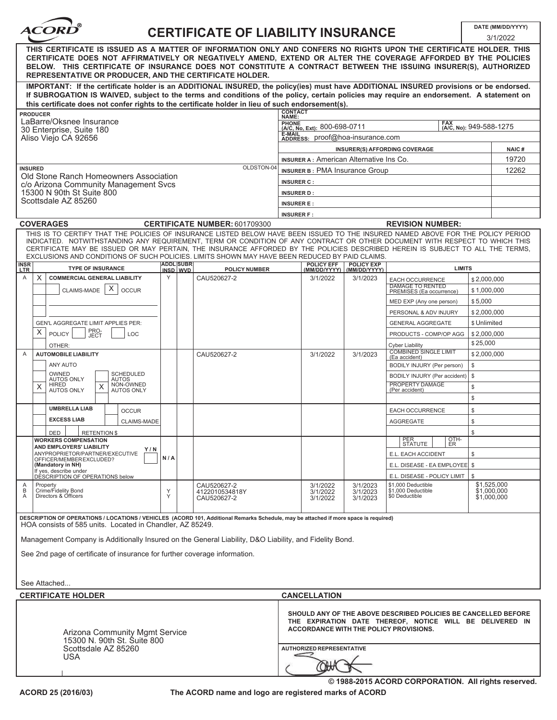

## **CERTIFICATE OF LIABILITY INSURANCE DATE (MM/DD/YYYY)**

|                                                                                                                                                                                                                                                                                                                                                                                                                  |                                                                                                                                                                                                                                                                                                                                                                                                                                                                                                    |          |                  |                                      |                                                                                       |                                                                                                                                                                      |                      |                                                     |              | 3/1/2022    |  |
|------------------------------------------------------------------------------------------------------------------------------------------------------------------------------------------------------------------------------------------------------------------------------------------------------------------------------------------------------------------------------------------------------------------|----------------------------------------------------------------------------------------------------------------------------------------------------------------------------------------------------------------------------------------------------------------------------------------------------------------------------------------------------------------------------------------------------------------------------------------------------------------------------------------------------|----------|------------------|--------------------------------------|---------------------------------------------------------------------------------------|----------------------------------------------------------------------------------------------------------------------------------------------------------------------|----------------------|-----------------------------------------------------|--------------|-------------|--|
| THIS CERTIFICATE IS ISSUED AS A MATTER OF INFORMATION ONLY AND CONFERS NO RIGHTS UPON THE CERTIFICATE HOLDER. THIS<br>CERTIFICATE DOES NOT AFFIRMATIVELY OR NEGATIVELY AMEND, EXTEND OR ALTER THE COVERAGE AFFORDED BY THE POLICIES<br>BELOW. THIS CERTIFICATE OF INSURANCE DOES NOT CONSTITUTE A CONTRACT BETWEEN THE ISSUING INSURER(S), AUTHORIZED<br>REPRESENTATIVE OR PRODUCER, AND THE CERTIFICATE HOLDER. |                                                                                                                                                                                                                                                                                                                                                                                                                                                                                                    |          |                  |                                      |                                                                                       |                                                                                                                                                                      |                      |                                                     |              |             |  |
|                                                                                                                                                                                                                                                                                                                                                                                                                  | IMPORTANT: If the certificate holder is an ADDITIONAL INSURED, the policy(ies) must have ADDITIONAL INSURED provisions or be endorsed.<br>If SUBROGATION IS WAIVED, subject to the terms and conditions of the policy, certain policies may require an endorsement. A statement on                                                                                                                                                                                                                 |          |                  |                                      |                                                                                       |                                                                                                                                                                      |                      |                                                     |              |             |  |
|                                                                                                                                                                                                                                                                                                                                                                                                                  | this certificate does not confer rights to the certificate holder in lieu of such endorsement(s).                                                                                                                                                                                                                                                                                                                                                                                                  |          |                  |                                      |                                                                                       |                                                                                                                                                                      |                      |                                                     |              |             |  |
|                                                                                                                                                                                                                                                                                                                                                                                                                  | <b>PRODUCER</b>                                                                                                                                                                                                                                                                                                                                                                                                                                                                                    |          |                  |                                      | <b>CONTACT</b><br>NAME:                                                               |                                                                                                                                                                      |                      |                                                     |              |             |  |
|                                                                                                                                                                                                                                                                                                                                                                                                                  | LaBarre/Oksnee Insurance<br>30 Enterprise, Suite 180                                                                                                                                                                                                                                                                                                                                                                                                                                               |          |                  |                                      | <b>PHONE</b><br><b>FAX</b><br>(A/C, No, Ext): 800-698-0711<br>(A/C, No): 949-588-1275 |                                                                                                                                                                      |                      |                                                     |              |             |  |
|                                                                                                                                                                                                                                                                                                                                                                                                                  | Aliso Viejo CA 92656                                                                                                                                                                                                                                                                                                                                                                                                                                                                               |          |                  |                                      | E-MAIL<br>ADDRESS: proof@hoa-insurance.com                                            |                                                                                                                                                                      |                      |                                                     |              |             |  |
|                                                                                                                                                                                                                                                                                                                                                                                                                  |                                                                                                                                                                                                                                                                                                                                                                                                                                                                                                    |          |                  |                                      |                                                                                       |                                                                                                                                                                      |                      | <b>INSURER(S) AFFORDING COVERAGE</b>                |              | NAIC#       |  |
|                                                                                                                                                                                                                                                                                                                                                                                                                  |                                                                                                                                                                                                                                                                                                                                                                                                                                                                                                    |          |                  |                                      |                                                                                       | <b>INSURER A: American Alternative Ins Co.</b>                                                                                                                       |                      |                                                     |              |             |  |
| <b>INSURED</b>                                                                                                                                                                                                                                                                                                                                                                                                   |                                                                                                                                                                                                                                                                                                                                                                                                                                                                                                    |          |                  | OLDSTON-04                           | INSURER B: PMA Insurance Group                                                        |                                                                                                                                                                      |                      |                                                     |              | 12262       |  |
|                                                                                                                                                                                                                                                                                                                                                                                                                  | Old Stone Ranch Homeowners Association<br>c/o Arizona Community Management Svcs                                                                                                                                                                                                                                                                                                                                                                                                                    |          |                  |                                      | <b>INSURER C:</b>                                                                     |                                                                                                                                                                      |                      |                                                     |              |             |  |
|                                                                                                                                                                                                                                                                                                                                                                                                                  | 15300 N 90th St Suite 800                                                                                                                                                                                                                                                                                                                                                                                                                                                                          |          |                  |                                      |                                                                                       | <b>INSURER D:</b>                                                                                                                                                    |                      |                                                     |              |             |  |
|                                                                                                                                                                                                                                                                                                                                                                                                                  | Scottsdale AZ 85260                                                                                                                                                                                                                                                                                                                                                                                                                                                                                |          |                  |                                      | <b>INSURER E:</b>                                                                     |                                                                                                                                                                      |                      |                                                     |              |             |  |
|                                                                                                                                                                                                                                                                                                                                                                                                                  |                                                                                                                                                                                                                                                                                                                                                                                                                                                                                                    |          |                  |                                      |                                                                                       | <b>INSURER F:</b>                                                                                                                                                    |                      |                                                     |              |             |  |
|                                                                                                                                                                                                                                                                                                                                                                                                                  | <b>COVERAGES</b>                                                                                                                                                                                                                                                                                                                                                                                                                                                                                   |          |                  | <b>CERTIFICATE NUMBER: 601709300</b> |                                                                                       |                                                                                                                                                                      |                      | <b>REVISION NUMBER:</b>                             |              |             |  |
|                                                                                                                                                                                                                                                                                                                                                                                                                  | THIS IS TO CERTIFY THAT THE POLICIES OF INSURANCE LISTED BELOW HAVE BEEN ISSUED TO THE INSURED NAMED ABOVE FOR THE POLICY PERIOD<br>INDICATED. NOTWITHSTANDING ANY REQUIREMENT, TERM OR CONDITION OF ANY CONTRACT OR OTHER DOCUMENT WITH RESPECT TO WHICH THIS<br>CERTIFICATE MAY BE ISSUED OR MAY PERTAIN. THE INSURANCE AFFORDED BY THE POLICIES DESCRIBED HEREIN IS SUBJECT TO ALL THE TERMS.<br>EXCLUSIONS AND CONDITIONS OF SUCH POLICIES, LIMITS SHOWN MAY HAVE BEEN REDUCED BY PAID CLAIMS. |          |                  |                                      |                                                                                       |                                                                                                                                                                      |                      |                                                     |              |             |  |
| INSR<br><b>LTR</b>                                                                                                                                                                                                                                                                                                                                                                                               | <b>TYPE OF INSURANCE</b>                                                                                                                                                                                                                                                                                                                                                                                                                                                                           | INSD WVD | <b>ADDL SUBR</b> | <b>POLICY NUMBER</b>                 |                                                                                       | <b>POLICY EFF</b><br>(MM/DD/YYYY)   (MM/DD/YYYY)                                                                                                                     | <b>POLICY EXP</b>    | <b>LIMITS</b>                                       |              |             |  |
| Α                                                                                                                                                                                                                                                                                                                                                                                                                | <b>COMMERCIAL GENERAL LIABILITY</b><br>X                                                                                                                                                                                                                                                                                                                                                                                                                                                           | Y        |                  | CAU520627-2                          |                                                                                       | 3/1/2022                                                                                                                                                             | 3/1/2023             | <b>EACH OCCURRENCE</b>                              | \$2,000,000  |             |  |
|                                                                                                                                                                                                                                                                                                                                                                                                                  | X<br>CLAIMS-MADE<br><b>OCCUR</b>                                                                                                                                                                                                                                                                                                                                                                                                                                                                   |          |                  |                                      |                                                                                       |                                                                                                                                                                      |                      | <b>DAMAGE TO RENTED</b><br>PREMISES (Ea occurrence) | \$1,000,000  |             |  |
|                                                                                                                                                                                                                                                                                                                                                                                                                  |                                                                                                                                                                                                                                                                                                                                                                                                                                                                                                    |          |                  |                                      |                                                                                       |                                                                                                                                                                      |                      | MED EXP (Any one person)                            | \$5,000      |             |  |
|                                                                                                                                                                                                                                                                                                                                                                                                                  |                                                                                                                                                                                                                                                                                                                                                                                                                                                                                                    |          |                  |                                      |                                                                                       |                                                                                                                                                                      |                      | PERSONAL & ADV INJURY                               | \$2,000,000  |             |  |
|                                                                                                                                                                                                                                                                                                                                                                                                                  | <b>GEN'L AGGREGATE LIMIT APPLIES PER:</b>                                                                                                                                                                                                                                                                                                                                                                                                                                                          |          |                  |                                      |                                                                                       |                                                                                                                                                                      |                      | <b>GENERAL AGGREGATE</b>                            | \$ Unlimited |             |  |
|                                                                                                                                                                                                                                                                                                                                                                                                                  | PRO-<br>JECT<br>X<br>POLICY<br>LOC                                                                                                                                                                                                                                                                                                                                                                                                                                                                 |          |                  |                                      |                                                                                       |                                                                                                                                                                      |                      | PRODUCTS - COMP/OP AGG                              | \$2,000,000  |             |  |
|                                                                                                                                                                                                                                                                                                                                                                                                                  | OTHER:                                                                                                                                                                                                                                                                                                                                                                                                                                                                                             |          |                  |                                      |                                                                                       |                                                                                                                                                                      |                      | <b>Cyber Liability</b>                              | \$25,000     |             |  |
| A                                                                                                                                                                                                                                                                                                                                                                                                                | <b>AUTOMOBILE LIABILITY</b>                                                                                                                                                                                                                                                                                                                                                                                                                                                                        |          |                  | CAU520627-2                          |                                                                                       |                                                                                                                                                                      | 3/1/2023             | <b>COMBINED SINGLE LIMIT</b><br>(Ea accident)       | \$2,000,000  |             |  |
|                                                                                                                                                                                                                                                                                                                                                                                                                  | ANY AUTO                                                                                                                                                                                                                                                                                                                                                                                                                                                                                           |          |                  |                                      |                                                                                       |                                                                                                                                                                      |                      | BODILY INJURY (Per person)                          | \$           |             |  |
|                                                                                                                                                                                                                                                                                                                                                                                                                  | OWNED<br>SCHEDULED<br><b>AUTOS ONLY</b><br><b>AUTOS</b>                                                                                                                                                                                                                                                                                                                                                                                                                                            |          |                  |                                      |                                                                                       |                                                                                                                                                                      |                      | BODILY INJURY (Per accident)                        | \$           |             |  |
|                                                                                                                                                                                                                                                                                                                                                                                                                  | NON-OWNED<br>HIRED<br>X<br>X<br><b>AUTOS ONLY</b><br><b>AUTOS ONLY</b>                                                                                                                                                                                                                                                                                                                                                                                                                             |          |                  |                                      |                                                                                       |                                                                                                                                                                      |                      | PROPERTY DAMAGE<br>(Per accident)                   | \$           |             |  |
|                                                                                                                                                                                                                                                                                                                                                                                                                  |                                                                                                                                                                                                                                                                                                                                                                                                                                                                                                    |          |                  |                                      |                                                                                       |                                                                                                                                                                      |                      |                                                     | \$           |             |  |
|                                                                                                                                                                                                                                                                                                                                                                                                                  | <b>UMBRELLA LIAB</b><br><b>OCCUR</b>                                                                                                                                                                                                                                                                                                                                                                                                                                                               |          |                  |                                      |                                                                                       |                                                                                                                                                                      |                      | EACH OCCURRENCE                                     | \$           |             |  |
|                                                                                                                                                                                                                                                                                                                                                                                                                  | <b>EXCESS LIAB</b><br>CLAIMS-MADE                                                                                                                                                                                                                                                                                                                                                                                                                                                                  |          |                  |                                      |                                                                                       |                                                                                                                                                                      |                      | <b>AGGREGATE</b>                                    | \$           |             |  |
|                                                                                                                                                                                                                                                                                                                                                                                                                  | <b>RETENTION \$</b><br><b>DED</b>                                                                                                                                                                                                                                                                                                                                                                                                                                                                  |          |                  |                                      |                                                                                       |                                                                                                                                                                      |                      |                                                     | \$           |             |  |
|                                                                                                                                                                                                                                                                                                                                                                                                                  | <b>WORKERS COMPENSATION</b>                                                                                                                                                                                                                                                                                                                                                                                                                                                                        |          |                  |                                      |                                                                                       |                                                                                                                                                                      |                      | PER <sub></sub><br>OTH-<br>STATUTE  <br>I ER        |              |             |  |
|                                                                                                                                                                                                                                                                                                                                                                                                                  | AND EMPLOYERS' LIABILITY<br>Y/N<br>ANYPROPRIETOR/PARTNER/EXECUTIVE                                                                                                                                                                                                                                                                                                                                                                                                                                 |          |                  |                                      |                                                                                       |                                                                                                                                                                      |                      | E.L. EACH ACCIDENT                                  | \$           |             |  |
|                                                                                                                                                                                                                                                                                                                                                                                                                  | OFFICER/MEMBER EXCLUDED?<br>(Mandatory in NH)                                                                                                                                                                                                                                                                                                                                                                                                                                                      | N/A      |                  |                                      |                                                                                       |                                                                                                                                                                      |                      | E.L. DISEASE - EA EMPLOYEE   \$                     |              |             |  |
|                                                                                                                                                                                                                                                                                                                                                                                                                  | If ves, describe under<br>DÉSCRIPTION OF OPERATIONS below                                                                                                                                                                                                                                                                                                                                                                                                                                          |          |                  |                                      |                                                                                       |                                                                                                                                                                      |                      | E.L. DISEASE - POLICY LIMIT                         | \$           |             |  |
| Α                                                                                                                                                                                                                                                                                                                                                                                                                | Property<br>Crime/Fidelity Bond                                                                                                                                                                                                                                                                                                                                                                                                                                                                    |          |                  | CAU520627-2                          |                                                                                       | 3/1/2022                                                                                                                                                             | 3/1/2023             | \$1,000 Deductible                                  | \$1,525,000  |             |  |
| B<br>Α                                                                                                                                                                                                                                                                                                                                                                                                           | Directors & Officers                                                                                                                                                                                                                                                                                                                                                                                                                                                                               | Υ<br>Y   |                  | 4122010534818Y<br>CAU520627-2        |                                                                                       | 3/1/2022<br>3/1/2022                                                                                                                                                 | 3/1/2023<br>3/1/2023 | \$1,000 Deductible<br>\$0 Deductible                | \$1,000,000  | \$1,000,000 |  |
|                                                                                                                                                                                                                                                                                                                                                                                                                  | DESCRIPTION OF OPERATIONS / LOCATIONS / VEHICLES (ACORD 101, Additional Remarks Schedule, may be attached if more space is required)                                                                                                                                                                                                                                                                                                                                                               |          |                  |                                      |                                                                                       |                                                                                                                                                                      |                      |                                                     |              |             |  |
|                                                                                                                                                                                                                                                                                                                                                                                                                  | HOA consists of 585 units. Located in Chandler, AZ 85249.                                                                                                                                                                                                                                                                                                                                                                                                                                          |          |                  |                                      |                                                                                       |                                                                                                                                                                      |                      |                                                     |              |             |  |
|                                                                                                                                                                                                                                                                                                                                                                                                                  | Management Company is Additionally Insured on the General Liability, D&O Liability, and Fidelity Bond.                                                                                                                                                                                                                                                                                                                                                                                             |          |                  |                                      |                                                                                       |                                                                                                                                                                      |                      |                                                     |              |             |  |
|                                                                                                                                                                                                                                                                                                                                                                                                                  | See 2nd page of certificate of insurance for further coverage information.                                                                                                                                                                                                                                                                                                                                                                                                                         |          |                  |                                      |                                                                                       |                                                                                                                                                                      |                      |                                                     |              |             |  |
|                                                                                                                                                                                                                                                                                                                                                                                                                  |                                                                                                                                                                                                                                                                                                                                                                                                                                                                                                    |          |                  |                                      |                                                                                       |                                                                                                                                                                      |                      |                                                     |              |             |  |
|                                                                                                                                                                                                                                                                                                                                                                                                                  |                                                                                                                                                                                                                                                                                                                                                                                                                                                                                                    |          |                  |                                      |                                                                                       |                                                                                                                                                                      |                      |                                                     |              |             |  |
|                                                                                                                                                                                                                                                                                                                                                                                                                  | See Attached                                                                                                                                                                                                                                                                                                                                                                                                                                                                                       |          |                  |                                      |                                                                                       |                                                                                                                                                                      |                      |                                                     |              |             |  |
|                                                                                                                                                                                                                                                                                                                                                                                                                  | <b>CERTIFICATE HOLDER</b>                                                                                                                                                                                                                                                                                                                                                                                                                                                                          |          |                  |                                      |                                                                                       | <b>CANCELLATION</b>                                                                                                                                                  |                      |                                                     |              |             |  |
| Arizona Community Mgmt Service<br>15300 N. 90th St. Suite 800                                                                                                                                                                                                                                                                                                                                                    |                                                                                                                                                                                                                                                                                                                                                                                                                                                                                                    |          |                  |                                      |                                                                                       | SHOULD ANY OF THE ABOVE DESCRIBED POLICIES BE CANCELLED BEFORE<br>THE EXPIRATION DATE THEREOF, NOTICE WILL BE DELIVERED IN<br>ACCORDANCE WITH THE POLICY PROVISIONS. |                      |                                                     |              |             |  |
|                                                                                                                                                                                                                                                                                                                                                                                                                  | Scottsdale AZ 85260                                                                                                                                                                                                                                                                                                                                                                                                                                                                                |          |                  | <b>AUTHORIZED REPRESENTATIVE</b>     |                                                                                       |                                                                                                                                                                      |                      |                                                     |              |             |  |
| <b>USA</b>                                                                                                                                                                                                                                                                                                                                                                                                       |                                                                                                                                                                                                                                                                                                                                                                                                                                                                                                    |          |                  |                                      |                                                                                       |                                                                                                                                                                      |                      |                                                     |              |             |  |
|                                                                                                                                                                                                                                                                                                                                                                                                                  |                                                                                                                                                                                                                                                                                                                                                                                                                                                                                                    |          |                  |                                      |                                                                                       |                                                                                                                                                                      |                      | © 1988-2015 ACORD CORPORATION. All rights reserved. |              |             |  |

**The ACORD name and logo are registered marks of ACORD**